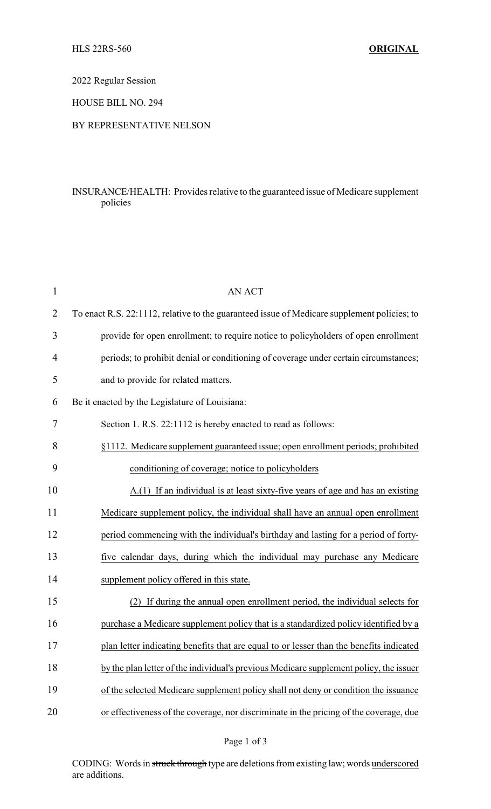2022 Regular Session

HOUSE BILL NO. 294

## BY REPRESENTATIVE NELSON

## INSURANCE/HEALTH: Provides relative to the guaranteed issue of Medicare supplement policies

| $\mathbf{1}$ | <b>AN ACT</b>                                                                               |
|--------------|---------------------------------------------------------------------------------------------|
| 2            | To enact R.S. 22:1112, relative to the guaranteed issue of Medicare supplement policies; to |
| 3            | provide for open enrollment; to require notice to policyholders of open enrollment          |
| 4            | periods; to prohibit denial or conditioning of coverage under certain circumstances;        |
| 5            | and to provide for related matters.                                                         |
| 6            | Be it enacted by the Legislature of Louisiana:                                              |
| 7            | Section 1. R.S. 22:1112 is hereby enacted to read as follows:                               |
| 8            | §1112. Medicare supplement guaranteed issue; open enrollment periods; prohibited            |
| 9            | conditioning of coverage; notice to policyholders                                           |
| 10           | A.(1) If an individual is at least sixty-five years of age and has an existing              |
| 11           | Medicare supplement policy, the individual shall have an annual open enrollment             |
| 12           | period commencing with the individual's birthday and lasting for a period of forty-         |
| 13           | five calendar days, during which the individual may purchase any Medicare                   |
| 14           | supplement policy offered in this state.                                                    |
| 15           | (2) If during the annual open enrollment period, the individual selects for                 |
| 16           | purchase a Medicare supplement policy that is a standardized policy identified by a         |
| 17           | plan letter indicating benefits that are equal to or lesser than the benefits indicated     |
| 18           | by the plan letter of the individual's previous Medicare supplement policy, the issuer      |
| 19           | of the selected Medicare supplement policy shall not deny or condition the issuance         |
| 20           | or effectiveness of the coverage, nor discriminate in the pricing of the coverage, due      |

CODING: Words in struck through type are deletions from existing law; words underscored are additions.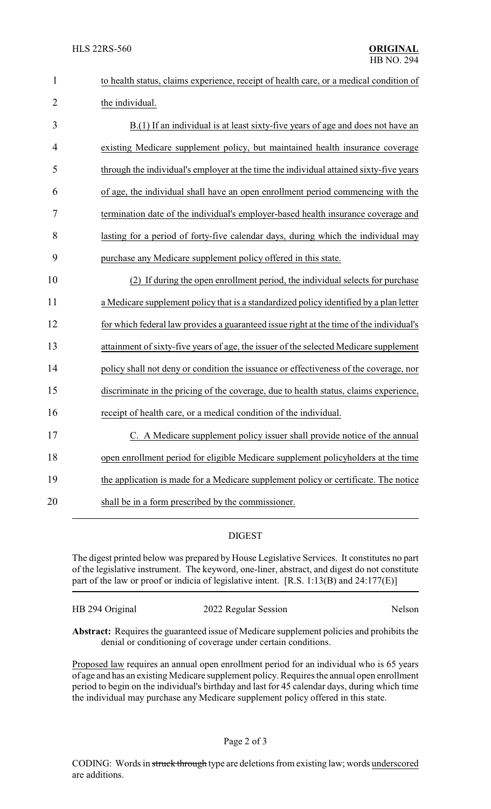| $\mathbf{1}$   | to health status, claims experience, receipt of health care, or a medical condition of  |
|----------------|-----------------------------------------------------------------------------------------|
| $\overline{2}$ | the individual.                                                                         |
| 3              | B.(1) If an individual is at least sixty-five years of age and does not have an         |
| $\overline{4}$ | existing Medicare supplement policy, but maintained health insurance coverage           |
| 5              | through the individual's employer at the time the individual attained sixty-five years  |
| 6              | of age, the individual shall have an open enrollment period commencing with the         |
| 7              | termination date of the individual's employer-based health insurance coverage and       |
| 8              | lasting for a period of forty-five calendar days, during which the individual may       |
| 9              | purchase any Medicare supplement policy offered in this state.                          |
| 10             | (2) If during the open enrollment period, the individual selects for purchase           |
| 11             | a Medicare supplement policy that is a standardized policy identified by a plan letter  |
| 12             | for which federal law provides a guaranteed issue right at the time of the individual's |
| 13             | attainment of sixty-five years of age, the issuer of the selected Medicare supplement   |
| 14             | policy shall not deny or condition the issuance or effectiveness of the coverage, nor   |
| 15             | discriminate in the pricing of the coverage, due to health status, claims experience,   |
| 16             | receipt of health care, or a medical condition of the individual.                       |
| 17             | C. A Medicare supplement policy issuer shall provide notice of the annual               |
| 18             | open enrollment period for eligible Medicare supplement policyholders at the time       |
| 19             | the application is made for a Medicare supplement policy or certificate. The notice     |
| 20             | shall be in a form prescribed by the commissioner.                                      |

## DIGEST

The digest printed below was prepared by House Legislative Services. It constitutes no part of the legislative instrument. The keyword, one-liner, abstract, and digest do not constitute part of the law or proof or indicia of legislative intent. [R.S. 1:13(B) and 24:177(E)]

HB 294 Original 2022 Regular Session Nelson

**Abstract:** Requires the guaranteed issue of Medicare supplement policies and prohibits the denial or conditioning of coverage under certain conditions.

Proposed law requires an annual open enrollment period for an individual who is 65 years of age and has an existing Medicare supplement policy. Requires the annual open enrollment period to begin on the individual's birthday and last for 45 calendar days, during which time the individual may purchase any Medicare supplement policy offered in this state.